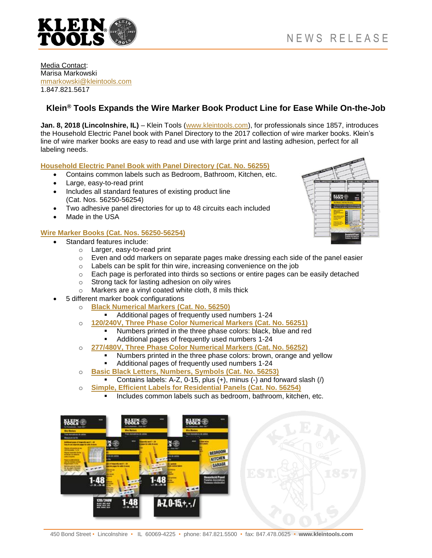

#### Media Contact: Marisa Markowski [mmarkowski@kleintools.com](mailto:mmarkowski@kleintools.com) 1.847.821.5617

# **Klein® Tools Expands the Wire Marker Book Product Line for Ease While On-the-Job**

**Jan. 8, 2018 (Lincolnshire, IL)** – Klein Tools [\(www.kleintools.com\)](http://www.kleintools.com/), for professionals since 1857, introduces the Household Electric Panel book with Panel Directory to the 2017 collection of wire marker books. Klein's line of wire marker books are easy to read and use with large print and lasting adhesion, perfect for all labeling needs.

### **[Household Electric Panel Book with Panel Directory \(Cat. No.](https://www.kleintools.com/catalog/wire-markers/wire-markers-household-electric-panel-wdirectory) 56255)**

- Contains common labels such as Bedroom, Bathroom, Kitchen, etc.
- Large, easy-to-read print
- Includes all standard features of existing product line (Cat. Nos. 56250-56254)
- Two adhesive panel directories for up to 48 circuits each included
- Made in the USA

## **Wire Marker Books [\(Cat. Nos. 56250-56254\)](https://www.kleintools.com/catalog/fish-tapes-conduit-tools/wire-markers)**

- Standard features include:
	- o Larger, easy-to-read print
	- $\circ$  Even and odd markers on separate pages make dressing each side of the panel easier
	- o Labels can be split for thin wire, increasing convenience on the job
	- o Each page is perforated into thirds so sections or entire pages can be easily detached
	- o Strong tack for lasting adhesion on oily wires
	- o Markers are a vinyl coated white cloth, 8 mils thick
	- 5 different marker book configurations
		- o **[Black Numerical Markers \(Cat. No. 56250\)](https://www.kleintools.com/catalog/wire-markers/wire-markers-numbers-1-48)**
			- Additional pages of frequently used numbers 1-24
		- o **120/240V, Three [Phase Color Numerical Markers \(Cat. No. 56251\)](https://www.kleintools.com/catalog/wire-markers/wire-markers-120240v-3-phase-1-48)**
			- Numbers printed in the three phase colors: black, blue and red Additional pages of frequently used numbers 1-24
		- o **[277/480V, Three Phase Color Numerical Markers](https://www.kleintools.com/catalog/wire-markers/wire-markers-277480v-3-phase-1-48) (Cat. No. 56252)**
			- Numbers printed in the three phase colors: brown, orange and yellow
				- Additional pages of frequently used numbers 1-24
		- o **[Basic Black Letters, Numbers, Symbols \(Cat. No. 56253\)](https://www.kleintools.com/catalog/wire-markers/wire-markers-black-letters-numbers-and-symbols)**
			- Contains labels: A-Z, 0-15, plus (+), minus (-) and forward slash (/)
		- o **[Simple, Efficient Labels for Residential Panels \(Cat. No. 56254\)](https://www.kleintools.com/catalog/wire-markers/wire-markers-household-electrical-panel)**
			- **Includes common labels such as bedroom, bathroom, kitchen, etc.**